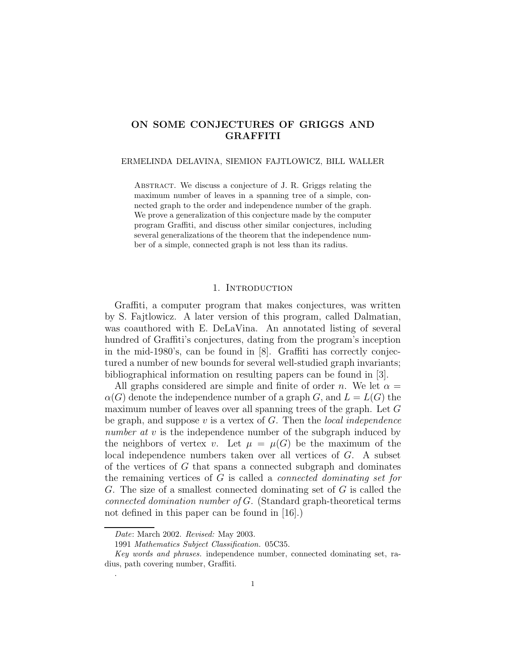# **ON SOME CONJECTURES OF GRIGGS AND GRAFFITI**

#### ERMELINDA DELAVINA, SIEMION FAJTLOWICZ, BILL WALLER

Abstract. We discuss a conjecture of J. R. Griggs relating the maximum number of leaves in a spanning tree of a simple, connected graph to the order and independence number of the graph. We prove a generalization of this conjecture made by the computer program Graffiti, and discuss other similar conjectures, including several generalizations of the theorem that the independence number of a simple, connected graph is not less than its radius.

## 1. INTRODUCTION

Graffiti, a computer program that makes conjectures, was written by S. Fajtlowicz. A later version of this program, called Dalmatian, was coauthored with E. DeLaVina. An annotated listing of several hundred of Graffiti's conjectures, dating from the program's inception in the mid-1980's, can be found in [8]. Graffiti has correctly conjectured a number of new bounds for several well-studied graph invariants; bibliographical information on resulting papers can be found in [3].

All graphs considered are simple and finite of order n. We let  $\alpha =$  $\alpha(G)$  denote the independence number of a graph G, and  $L = L(G)$  the maximum number of leaves over all spanning trees of the graph. Let G be graph, and suppose  $v$  is a vertex of  $G$ . Then the *local independence* number at v is the independence number of the subgraph induced by the neighbors of vertex v. Let  $\mu = \mu(G)$  be the maximum of the local independence numbers taken over all vertices of G. A subset of the vertices of  $G$  that spans a connected subgraph and dominates the remaining vertices of G is called a connected dominating set for G. The size of a smallest connected dominating set of G is called the connected domination number of G. (Standard graph-theoretical terms not defined in this paper can be found in [16].)

.

*Date*: March 2002. *Revised:* May 2003.

<sup>1991</sup> *Mathematics Subject Classification.* 05C35.

*Key words and phrases.* independence number, connected dominating set, radius, path covering number, Graffiti.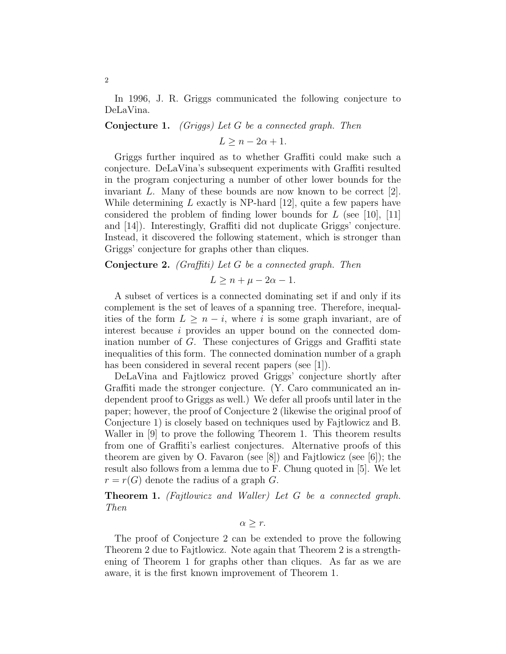In 1996, J. R. Griggs communicated the following conjecture to DeLaVina.

### **Conjecture 1.** (Griggs) Let G be a connected graph. Then

 $L > n - 2\alpha + 1$ .

Griggs further inquired as to whether Graffiti could make such a conjecture. DeLaVina's subsequent experiments with Graffiti resulted in the program conjecturing a number of other lower bounds for the invariant L. Many of these bounds are now known to be correct [2]. While determining  $L$  exactly is NP-hard [12], quite a few papers have considered the problem of finding lower bounds for  $L$  (see [10], [11] and [14]). Interestingly, Graffiti did not duplicate Griggs' conjecture. Instead, it discovered the following statement, which is stronger than Griggs' conjecture for graphs other than cliques.

## **Conjecture 2.** (Graffiti) Let G be a connected graph. Then

$$
L \ge n + \mu - 2\alpha - 1.
$$

A subset of vertices is a connected dominating set if and only if its complement is the set of leaves of a spanning tree. Therefore, inequalities of the form  $L \geq n - i$ , where i is some graph invariant, are of interest because i provides an upper bound on the connected domination number of G. These conjectures of Griggs and Graffiti state inequalities of this form. The connected domination number of a graph has been considered in several recent papers (see [1]).

DeLaVina and Fajtlowicz proved Griggs' conjecture shortly after Graffiti made the stronger conjecture. (Y. Caro communicated an independent proof to Griggs as well.) We defer all proofs until later in the paper; however, the proof of Conjecture 2 (likewise the original proof of Conjecture 1) is closely based on techniques used by Fajtlowicz and B. Waller in [9] to prove the following Theorem 1. This theorem results from one of Graffiti's earliest conjectures. Alternative proofs of this theorem are given by O. Favaron (see [8]) and Fajtlowicz (see [6]); the result also follows from a lemma due to F. Chung quoted in [5]. We let  $r = r(G)$  denote the radius of a graph G.

**Theorem 1.** (Fajtlowicz and Waller) Let G be a connected graph. Then

# $\alpha > r$ .

The proof of Conjecture 2 can be extended to prove the following Theorem 2 due to Fajtlowicz. Note again that Theorem 2 is a strengthening of Theorem 1 for graphs other than cliques. As far as we are aware, it is the first known improvement of Theorem 1.

2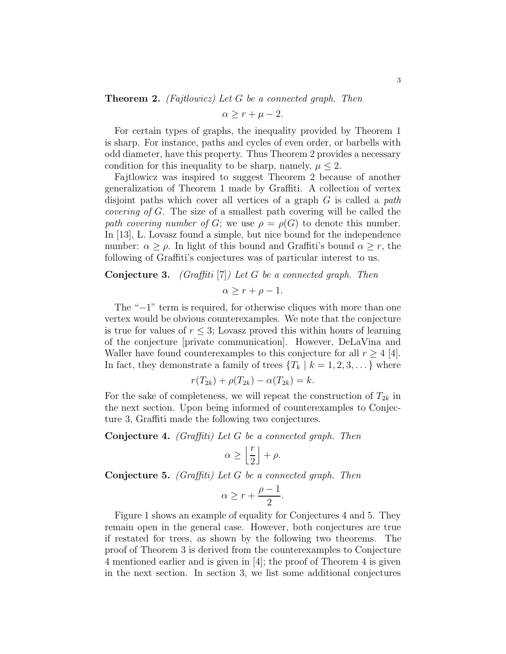#### **Theorem 2.** (Fajtlowicz) Let G be a connected graph. Then

$$
\alpha \ge r + \mu - 2.
$$

For certain types of graphs, the inequality provided by Theorem 1 is sharp. For instance, paths and cycles of even order, or barbells with odd diameter, have this property. Thus Theorem 2 provides a necessary condition for this inequality to be sharp, namely,  $\mu \leq 2$ .

Fajtlowicz was inspired to suggest Theorem 2 because of another generalization of Theorem 1 made by Graffiti. A collection of vertex disjoint paths which cover all vertices of a graph  $G$  is called a *path* covering of G. The size of a smallest path covering will be called the path covering number of G; we use  $\rho = \rho(G)$  to denote this number. In [13], L. Lovasz found a simple, but nice bound for the independence number:  $\alpha \geq \rho$ . In light of this bound and Graffiti's bound  $\alpha \geq r$ , the following of Graffiti's conjectures was of particular interest to us.

## **Conjecture 3.** (Graffiti [7]) Let G be a connected graph. Then

$$
\alpha \ge r + \rho - 1.
$$

The "−1" term is required, for otherwise cliques with more than one vertex would be obvious counterexamples. We note that the conjecture is true for values of  $r \leq 3$ ; Lovasz proved this within hours of learning of the conjecture [private communication]. However, DeLaVina and Waller have found counterexamples to this conjecture for all  $r \geq 4$  [4]. In fact, they demonstrate a family of trees  $\{T_k \mid k = 1, 2, 3, \dots\}$  where

$$
r(T_{2k}) + \rho(T_{2k}) - \alpha(T_{2k}) = k.
$$

For the sake of completeness, we will repeat the construction of  $T_{2k}$  in the next section. Upon being informed of counterexamples to Conjecture 3, Graffiti made the following two conjectures.

**Conjecture 4.** (Graffiti) Let G be a connected graph. Then

$$
\alpha \ge \left\lfloor \frac{r}{2} \right\rfloor + \rho.
$$

**Conjecture 5.** (Graffiti) Let G be a connected graph. Then

$$
\alpha \ge r + \frac{\rho - 1}{2}.
$$

Figure 1 shows an example of equality for Conjectures 4 and 5. They remain open in the general case. However, both conjectures are true if restated for trees, as shown by the following two theorems. The proof of Theorem 3 is derived from the counterexamples to Conjecture 4 mentioned earlier and is given in [4]; the proof of Theorem 4 is given in the next section. In section 3, we list some additional conjectures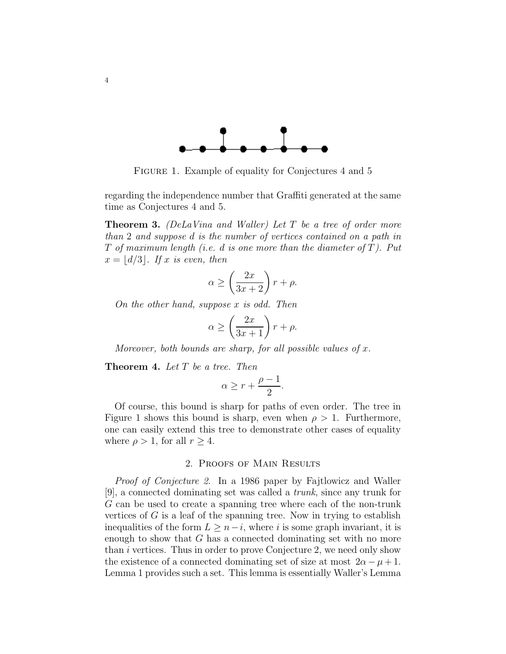

FIGURE 1. Example of equality for Conjectures 4 and 5

regarding the independence number that Graffiti generated at the same time as Conjectures 4 and 5.

**Theorem 3.** (DeLaVina and Waller) Let T be a tree of order more than 2 and suppose d is the number of vertices contained on a path in T of maximum length (i.e. d is one more than the diameter of  $T$ ). Put  $x = |d/3|$ . If x is even, then

$$
\alpha \ge \left(\frac{2x}{3x+2}\right)r + \rho.
$$

On the other hand, suppose x is odd. Then

$$
\alpha \ge \left(\frac{2x}{3x+1}\right)r + \rho.
$$

Moreover, both bounds are sharp, for all possible values of  $x$ .

**Theorem 4.** Let T be a tree. Then

$$
\alpha \geq r + \frac{\rho-1}{2}.
$$

Of course, this bound is sharp for paths of even order. The tree in Figure 1 shows this bound is sharp, even when  $\rho > 1$ . Furthermore, one can easily extend this tree to demonstrate other cases of equality where  $\rho > 1$ , for all  $r \geq 4$ .

#### 2. Proofs of Main Results

Proof of Conjecture 2. In a 1986 paper by Fajtlowicz and Waller [9], a connected dominating set was called a trunk, since any trunk for G can be used to create a spanning tree where each of the non-trunk vertices of  $G$  is a leaf of the spanning tree. Now in trying to establish inequalities of the form  $L \geq n-i$ , where i is some graph invariant, it is enough to show that G has a connected dominating set with no more than i vertices. Thus in order to prove Conjecture 2, we need only show the existence of a connected dominating set of size at most  $2\alpha - \mu + 1$ . Lemma 1 provides such a set. This lemma is essentially Waller's Lemma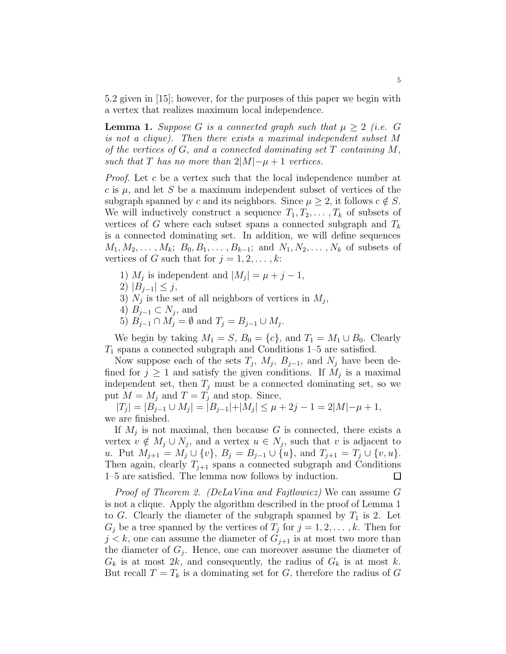5.2 given in [15]; however, for the purposes of this paper we begin with a vertex that realizes maximum local independence.

**Lemma 1.** Suppose G is a connected graph such that  $\mu \geq 2$  (i.e. G is not a clique). Then there exists a maximal independent subset M of the vertices of  $G$ , and a connected dominating set  $T$  containing  $M$ , such that T has no more than  $2|M|-\mu+1$  vertices.

Proof. Let c be a vertex such that the local independence number at c is  $\mu$ , and let S be a maximum independent subset of vertices of the subgraph spanned by c and its neighbors. Since  $\mu \geq 2$ , it follows  $c \notin S$ . We will inductively construct a sequence  $T_1, T_2, \ldots, T_k$  of subsets of vertices of G where each subset spans a connected subgraph and  $T_k$ is a connected dominating set. In addition, we will define sequences  $M_1, M_2, \ldots, M_k; B_0, B_1, \ldots, B_{k-1}; \text{ and } N_1, N_2, \ldots, N_k \text{ of subsets of }$ vertices of G such that for  $j = 1, 2, \ldots, k$ :

- 1)  $M_i$  is independent and  $|M_i| = \mu + j 1$ ,
- 2)  $|B_{i-1}| \leq j$ ,
- 3)  $N_j$  is the set of all neighbors of vertices in  $M_j$ ,
- 4)  $B_{i-1} \subset N_i$ , and
- 5)  $B_{j-1} \cap M_j = \emptyset$  and  $T_j = B_{j-1} \cup M_j$ .

We begin by taking  $M_1 = S$ ,  $B_0 = \{c\}$ , and  $T_1 = M_1 \cup B_0$ . Clearly  $T_1$  spans a connected subgraph and Conditions 1–5 are satisfied.

Now suppose each of the sets  $T_j$ ,  $M_j$ ,  $B_{j-1}$ , and  $N_j$  have been defined for  $j \geq 1$  and satisfy the given conditions. If  $M_i$  is a maximal independent set, then  $T_i$  must be a connected dominating set, so we put  $M = M_j$  and  $T = T_j$  and stop. Since,

 $|T_j| = |B_{j-1} \cup M_j| = |B_{j-1}| + |M_j| \leq \mu + 2j - 1 = 2|M| - \mu + 1,$ we are finished.

If  $M_i$  is not maximal, then because G is connected, there exists a vertex  $v \notin M_j \cup N_j$ , and a vertex  $u \in N_j$ , such that v is adjacent to u. Put  $M_{j+1} = M_j \cup \{v\}, B_j = B_{j-1} \cup \{u\}, \text{ and } T_{j+1} = T_j \cup \{v, u\}.$ Then again, clearly  $T_{i+1}$  spans a connected subgraph and Conditions 1–5 are satisfied. The lemma now follows by induction.  $\Box$ 

Proof of Theorem 2. (DeLaVina and Fajtlowicz) We can assume G is not a clique. Apply the algorithm described in the proof of Lemma 1 to G. Clearly the diameter of the subgraph spanned by  $T_1$  is 2. Let  $G_j$  be a tree spanned by the vertices of  $T_j$  for  $j = 1, 2, \ldots, k$ . Then for  $j < k$ , one can assume the diameter of  $G_{j+1}$  is at most two more than the diameter of  $G_i$ . Hence, one can moreover assume the diameter of  $G_k$  is at most 2k, and consequently, the radius of  $G_k$  is at most k. But recall  $T = T_k$  is a dominating set for G, therefore the radius of G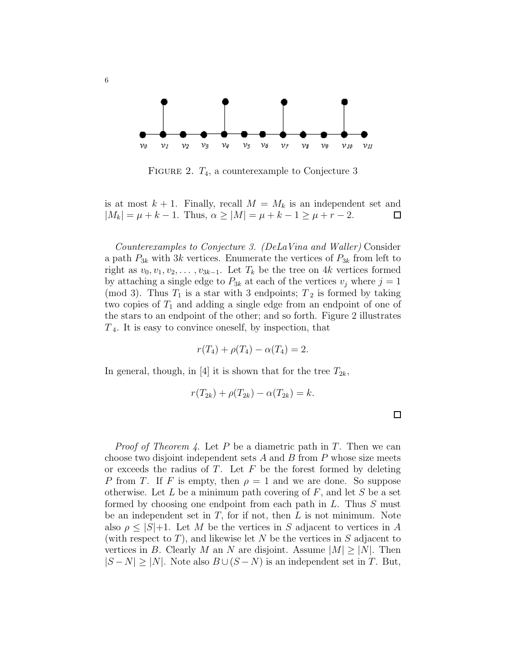

FIGURE 2.  $T_4$ , a counterexample to Conjecture 3

is at most  $k + 1$ . Finally, recall  $M = M_k$  is an independent set and  $|M_k| = \mu + k - 1$ . Thus,  $\alpha \ge |M| = \mu + k - 1 \ge \mu + r - 2$ .  $\Box$ 

Counterexamples to Conjecture 3. (DeLaVina and Waller) Consider a path  $P_{3k}$  with 3k vertices. Enumerate the vertices of  $P_{3k}$  from left to right as  $v_0, v_1, v_2, \ldots, v_{3k-1}$ . Let  $T_k$  be the tree on 4k vertices formed by attaching a single edge to  $P_{3k}$  at each of the vertices  $v_j$  where  $j = 1$ (mod 3). Thus  $T_1$  is a star with 3 endpoints;  $T_2$  is formed by taking two copies of  $T_1$  and adding a single edge from an endpoint of one of the stars to an endpoint of the other; and so forth. Figure 2 illustrates  $T_4$ . It is easy to convince oneself, by inspection, that

$$
r(T_4) + \rho(T_4) - \alpha(T_4) = 2.
$$

In general, though, in [4] it is shown that for the tree  $T_{2k}$ ,

$$
r(T_{2k})+\rho(T_{2k})-\alpha(T_{2k})=k.
$$

*Proof of Theorem 4.* Let P be a diametric path in T. Then we can choose two disjoint independent sets  $A$  and  $B$  from  $P$  whose size meets or exceeds the radius of  $T$ . Let  $F$  be the forest formed by deleting P from T. If F is empty, then  $\rho = 1$  and we are done. So suppose otherwise. Let  $L$  be a minimum path covering of  $F$ , and let  $S$  be a set formed by choosing one endpoint from each path in L. Thus S must be an independent set in  $T$ , for if not, then  $L$  is not minimum. Note also  $\rho \leq |S|+1$ . Let M be the vertices in S adjacent to vertices in A (with respect to  $T$ ), and likewise let N be the vertices in S adjacent to vertices in B. Clearly M an N are disjoint. Assume  $|M|>|N|$ . Then  $|S-N|\geq |N|$ . Note also  $B\cup (S-N)$  is an independent set in T. But,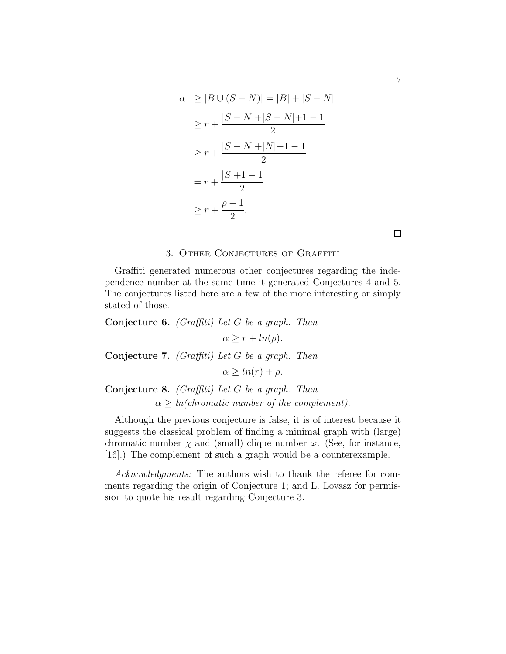$$
\alpha \ge |B \cup (S - N)| = |B| + |S - N|
$$
  
\n
$$
\ge r + \frac{|S - N| + |S - N| + 1 - 1}{2}
$$
  
\n
$$
\ge r + \frac{|S - N| + |N| + 1 - 1}{2}
$$
  
\n
$$
= r + \frac{|S| + 1 - 1}{2}
$$
  
\n
$$
\ge r + \frac{\rho - 1}{2}.
$$

#### 3. Other Conjectures of Graffiti

Graffiti generated numerous other conjectures regarding the independence number at the same time it generated Conjectures 4 and 5. The conjectures listed here are a few of the more interesting or simply stated of those.

# **Conjecture 6.** (Graffiti) Let G be a graph. Then  $\alpha \geq r + \ln(\rho).$ **Conjecture 7.** (Graffiti) Let G be a graph. Then  $\alpha \geq ln(r) + \rho$ .

**Conjecture 8.** (Graffiti) Let G be a graph. Then  $\alpha \geq ln(chromatic\ number\ of\ the\ complement).$ 

Although the previous conjecture is false, it is of interest because it suggests the classical problem of finding a minimal graph with (large) chromatic number  $\chi$  and (small) clique number  $\omega$ . (See, for instance, [16].) The complement of such a graph would be a counterexample.

Acknowledgments: The authors wish to thank the referee for comments regarding the origin of Conjecture 1; and L. Lovasz for permission to quote his result regarding Conjecture 3.

 $\Box$